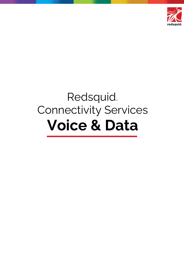

# Redsquid. Connectivity Services **Voice & Data**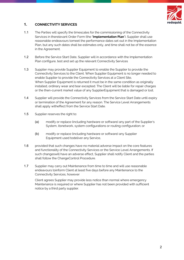

### **1. CONNECTIVITY SERVICES**

- 1.1 The Parties will specify the timescales for the commissioning of the Connectivity Services in therelevant Order Form (the "**Implementation Plan**"). Supplier shall use reasonable endeavours tomeet the performance dates set out in the Implementation Plan, but any such dates shall be estimates only, and time shall not be of the essence in the Agreement.
- 1.2 Before the Service Start Date, Supplier will in accordance with the Implementation Plan configure, test and set up the relevant Connectivity Services
- 1.3 Supplier may provide Supplier Equipment to enable the Supplier to provide the Connectivity Services to the Client. When Supplier Equipment is no longer needed to enable Supplier to provide the Connectivity Services at a Client Site, When Supplier Equipment is returned it must be in the same condition as originally installed, ordinary wear and tear excepted. The Client will be liable for repair charges or the then-current market value of any SupplierEquipment that is damaged or lost.
- 1.4 Supplier will provide the Connectivity Services from the Service Start Date until expiry or termination of the Agreement for any reason. The Service Level Arrangements shall apply witheffect from the Service Start Date.
- 1.5 Supplier reserves the right to:
	- (a) modify or replace (including hardware or software) any part of the Supplier's System, itsnetwork, system configurations or routing configuration; or
	- (b) modify or replace (including hardware or software) any Supplier Equipment used todeliver any Service,
- 1.6 provided that such changes have no material adverse impact on the core features and functionality of the Connectivity Services or the Service Level Arrangements. If such changeswill have an adverse effect, Supplier shall notify Client and the parties shall follow the ChangeControl Procedure.
- 1.7 Supplier may carry out Maintenance from time to time and will use reasonable endeavours toinform Client at least five days before any Maintenance to the Connectivity Services, however

Client agrees Supplier may provide less notice than normal where emergency Maintenance is required or where Supplier has not been provided with sufficient notice by a third party supplier.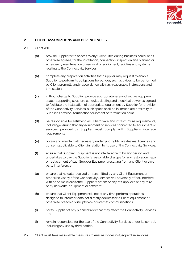

# **2. CLIENT ASSUMPTIONS AND DEPENDENCIES**

#### 2.1 Client will:

- (a) provide Supplier with access to any Client Sites during business hours, or as otherwise agreed, for the installation, connection, inspection and planned or emergency maintenance or removal of equipment, facilities and systems relating to the ConnectivityServices;
- (b) complete any preparation activities that Supplier may request to enable Supplier to perform its obligations hereunder, such activities to be performed by Client promptly andin accordance with any reasonable instructions and timescales;
- (c) without charge to Supplier, provide appropriate safe and secure equipment space, supporting structure conduits, ducting and electrical power as agreed to facilitate the installation of appropriate equipment by Supplier for provision of the Connectivity Services, such space shall be in immediate proximity to Supplier's network terminationequipment or termination point;
- (d) be responsible for satisfying all IT hardware and infrastructure requirements, includingensuring that any equipment or services connected to equipment or services provided by Supplier must comply with Supplier's interface requirements
- (e) obtain and maintain all necessary underlying rights, wayleaves, licences and consentsapplicable to Client in relation to its use of the Connectivity Services;
- (f) ensure that Supplier Equipment is not interfered with by any person and undertakes to pay the Supplier's reasonable charges for any restoration, repair or replacement of suchSupplier Equipment resulting from any Client or third party interference;
- (g) ensure that no data received or transmitted by any Client Equipment or otherwise viaany of the Connectivity Services will adversely affect, interfere with or be malicious tothe Supplier System or any of Supplier's or any third party networks, equipment or software;
- (h) ensure that Client Equipment will not at any time perform operations designed to intercept data not directly addressed to Client equipment or otherwise breach or disruptvoice or internet communications;
- (i) notify Supplier of any planned work that may affect the Connectivity Services; and
- (j) remain responsible for the use of the Connectivity Services under its control, includingany use by third parties.
- 2.2 Client must take reasonable measures to ensure it does not jeopardise services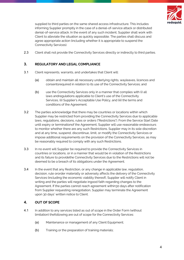

supplied to third parties on the same shared access infrastructure. This includes informing Supplier promptly in the case of a denial-of-service attack or distributed denial-of-service attack. In the event of any such incident, Supplier shall work with Client to alleviate the situation as quickly aspossible. The parties shall discuss and agree appropriate action (including whether it is appropriate to suspend the Connectivity Services).

2.3 Client shall not provide the Connectivity Services directly or indirectly to third parties.

#### **3. REGULATORY AND LEGAL COMPLIANCE**

- 3.1 Client represents, warrants, and undertakes that Client will:
	- (a) obtain and maintain all necessary underlying rights, wayleaves, licences and consentsrequired in relation to its use of the Connectivity Services; and
	- (b) use the Connectivity Services only in a manner that complies with (i) all laws andregulations applicable to Client's use of the Connectivity Services, (ii) Supplier's Acceptable Use Policy, and (iii) the terms and conditions of the Agreement.
- 3.2 The parties acknowledge that there may be countries or locations within which Supplier may be restricted from providing the Connectivity Services due to applicable laws, regulations, decisions, rules or orders ("Restrictions"). From the Service Start Date until expiry or terminationof the Agreement, Supplier will use reasonable endeavours to monitor whether there are any such Restrictions. Supplier may in its sole discretion and at any time, suspend, discontinue, limit, or modify the Connectivity Services or impose additional requirements on the provision of the Connectivity Services, as may be reasonably required to comply with any such Restrictions.
- 3.3 In no event will Supplier be required to provide the Connectivity Services in countries or locations, or in a manner that would be in violation of the Restrictions and its failure to providethe Connectivity Services due to the Restrictions will not be deemed to be a breach of its obligations under the Agreement.
- 3.4 In the event that any Restriction, or any change in applicable law, regulation, decision, rule ororder materially or adversely affects the delivery of the Connectivity Services (including the economic viability thereof), Supplier will notify Client in writing and the parties will negotiate ingood faith regarding changes to the Agreement. If the parties cannot reach agreement within30 days after notification from Supplier requesting renegotiation, Supplier may terminate the Agreement upon 30 days' written notice to Client.

# **4. OUT OF SCOPE**

- 4.1 In addition to any services listed as out of scope in the Order Form (without limitation) thefollowing are out of scope for the Connectivity Services:
	- (a) Maintenance or management of any Client Equipment;
	- (b) Training or the preparation of training materials;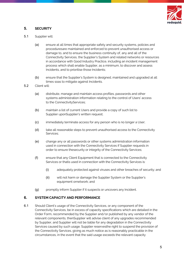

# **5. SECURITY**

- 5.1 Supplier will:
	- (a) ensure at all times that appropriate safety and security systems, policies and proceduresare maintained and enforced to prevent unauthorised access or damage to, and to ensure the business continuity of, any and all of the Connectivity Services, the Supplier's System and related networks or resources in accordance with Good Industry Practice, including an incident management process which shall enable Supplier, as a minimum, to discover and assess Incidents, and to prioritise those Incidents;
	- (b) ensure that the Supplier's System is designed, maintained and upgraded at all times soas to mitigate against Incidents.
- 5.2 Client will:
	- (a) distribute, manage and maintain access profiles, passwords and other systems administration information relating to the control of Users' access to the ConnectivityServices;
	- (b) maintain a list of current Users and provide a copy of such list to Supplier uponSupplier's written request;
	- (c) immediately terminate access for any person who is no longer a User;
	- (d) take all reasonable steps to prevent unauthorised access to the Connectivity Services;
	- (e) change any or all passwords or other systems administration information used in connection with the Connectivity Services if Supplier requests in order to ensure thesecurity or integrity of the Connectivity Services;
	- (f) ensure that any Client Equipment that is connected to the Connectivity Services or thatis used in connection with the Connectivity Services is:
		- (i) adequately protected against viruses and other breaches of security; and
		- (ii) will not harm or damage the Supplier System or the Supplier's equipment ornetwork; and
	- (g) promptly inform Supplier if it suspects or uncovers any Incident.

#### **6. SYSTEM CAPACITY AND PERFORMANCE**

6.1 Should Client's usage of the Connectivity Services, or any component of the Connectivity Services, be in excess of capacity specifications which are detailed in the Order Form, recommended by the Supplier and/or published by any vendor of the relevant components, thenSupplier will advise client of any upgrades recommended by Supplier, and Supplier will not be liable for any degradation in the Connectivity Services caused by such usage. Supplier reservesthe right to suspend the provision of the Connectivity Services, giving as much notice as is reasonably practicable in the circumstances, in the event that the said usage exceeds the relevant capacity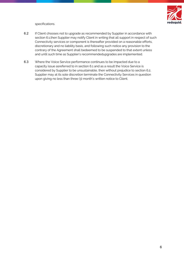

specifications.

- 6.2 If Client chooses not to upgrade as recommended by Supplier in accordance with section 6.1,then Supplier may notify Client in writing that all support in respect of such Connectivity services or component is thereafter provided on a reasonable efforts, discretionary and no liability basis, and following such notice any provision to the contrary of the Agreement shall bedeemed to be suspended to that extent unless and until such time as Supplier's recommendedupgrades are implemented.
- 6.3 Where the Voice Service performance continues to be impacted due to a capacity issue asreferred to in section 6.1 and as a result the Voice Service is considered by Supplier to be unsustainable, then without prejudice to section 6.2, Supplier may at its sole discretion terminate the Connectivity Services in question upon giving no less than three (3) month's written notice to Client.